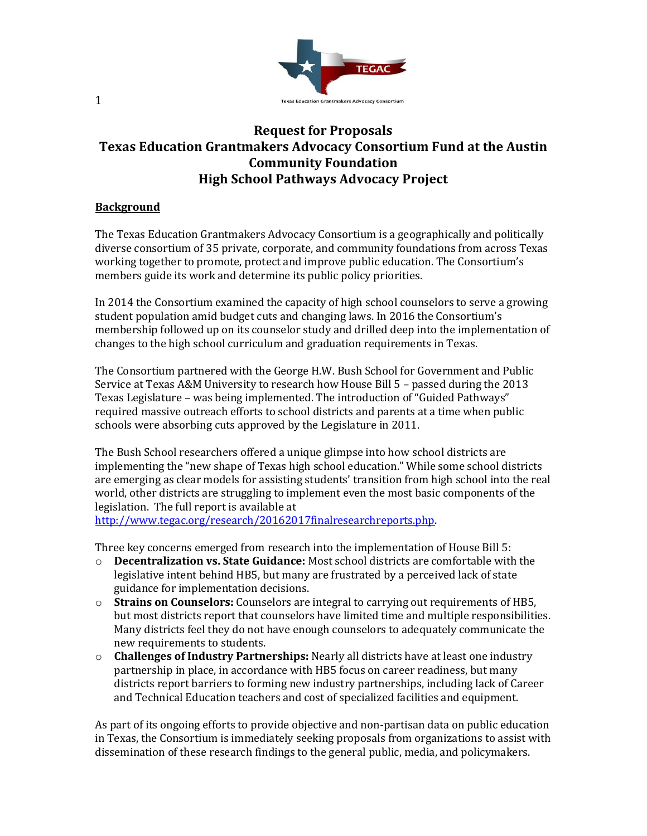

## **Request for Proposals Texas Education Grantmakers Advocacy Consortium Fund at the Austin Community Foundation High School Pathways Advocacy Project**

## **Background**

The Texas Education Grantmakers Advocacy Consortium is a geographically and politically diverse consortium of 35 private, corporate, and community foundations from across Texas working together to promote, protect and improve public education. The Consortium's members guide its work and determine its public policy priorities.

In 2014 the Consortium examined the capacity of high school counselors to serve a growing student population amid budget cuts and changing laws. In 2016 the Consortium's membership followed up on its counselor study and drilled deep into the implementation of changes to the high school curriculum and graduation requirements in Texas.

The Consortium partnered with the George H.W. Bush School for Government and Public Service at Texas A&M University to research how House Bill 5 – passed during the 2013 Texas Legislature – was being implemented. The introduction of "Guided Pathways" required massive outreach efforts to school districts and parents at a time when public schools were absorbing cuts approved by the Legislature in 2011.

The Bush School researchers offered a unique glimpse into how school districts are implementing the "new shape of Texas high school education." While some school districts are emerging as clear models for assisting students' transition from high school into the real world, other districts are struggling to implement even the most basic components of the legislation. The full report is available at [http://www.tegac.org/research/20162017finalresearchreports.php.](http://www.tegac.org/research/20162017finalresearchreports.php) 

Three key concerns emerged from research into the implementation of House Bill 5:

- o **Decentralization vs. State Guidance:** Most school districts are comfortable with the legislative intent behind HB5, but many are frustrated by a perceived lack of state guidance for implementation decisions.
- o **Strains on Counselors:** Counselors are integral to carrying out requirements of HB5, but most districts report that counselors have limited time and multiple responsibilities. Many districts feel they do not have enough counselors to adequately communicate the new requirements to students.
- o **Challenges of Industry Partnerships:** Nearly all districts have at least one industry partnership in place, in accordance with HB5 focus on career readiness, but many districts report barriers to forming new industry partnerships, including lack of Career and Technical Education teachers and cost of specialized facilities and equipment.

As part of its ongoing efforts to provide objective and non-partisan data on public education in Texas, the Consortium is immediately seeking proposals from organizations to assist with dissemination of these research findings to the general public, media, and policymakers.